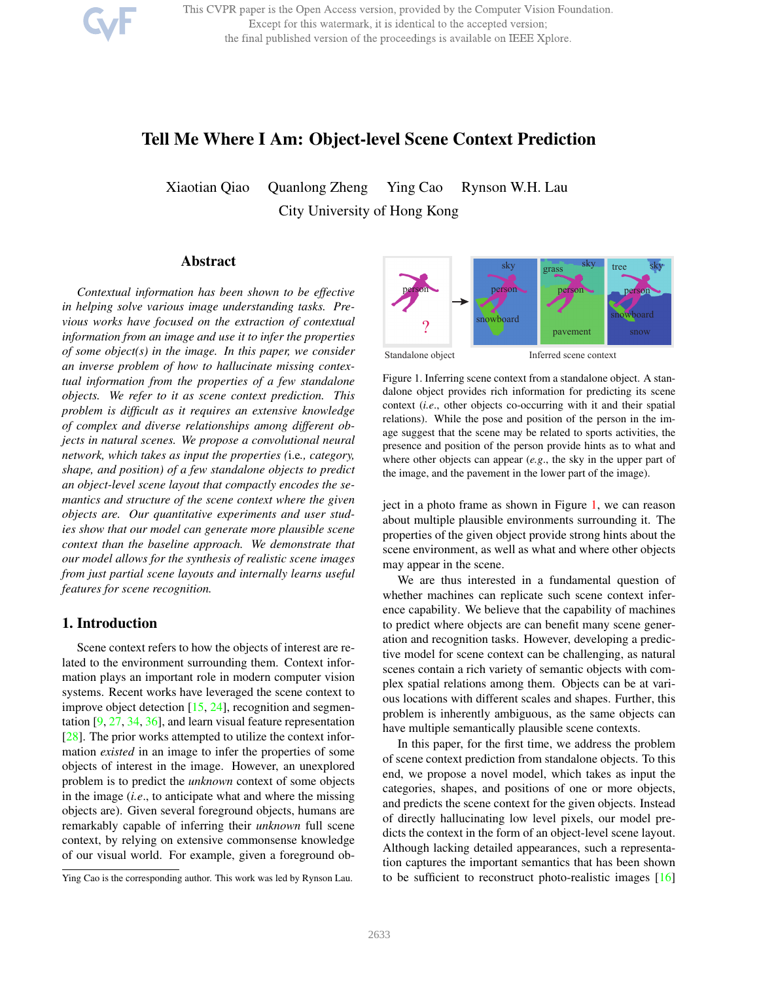This CVPR paper is the Open Access version, provided by the Computer Vision Foundation. Except for this watermark, it is identical to the accepted version; the final published version of the proceedings is available on IEEE Xplore.

# Tell Me Where I Am: Object-level Scene Context Prediction

Xiaotian Qiao Quanlong Zheng Ying Cao Rynson W.H. Lau City University of Hong Kong

### Abstract

*Contextual information has been shown to be effective in helping solve various image understanding tasks. Previous works have focused on the extraction of contextual information from an image and use it to infer the properties of some object(s) in the image. In this paper, we consider an inverse problem of how to hallucinate missing contextual information from the properties of a few standalone objects. We refer to it as scene context prediction. This problem is difficult as it requires an extensive knowledge of complex and diverse relationships among different objects in natural scenes. We propose a convolutional neural network, which takes as input the properties (*i.e*., category, shape, and position) of a few standalone objects to predict an object-level scene layout that compactly encodes the semantics and structure of the scene context where the given objects are. Our quantitative experiments and user studies show that our model can generate more plausible scene context than the baseline approach. We demonstrate that our model allows for the synthesis of realistic scene images from just partial scene layouts and internally learns useful features for scene recognition.*

# 1. Introduction

Scene context refers to how the objects of interest are related to the environment surrounding them. Context information plays an important role in modern computer vision systems. Recent works have leveraged the scene context to improve object detection [15, 24], recognition and segmentation [9, 27, 34, 36], and learn visual feature representation [28]. The prior works attempted to utilize the context information *existed* in an image to infer the properties of some objects of interest in the image. However, an unexplored problem is to predict the *unknown* context of some objects in the image (*i.e*., to anticipate what and where the missing objects are). Given several foreground objects, humans are remarkably capable of inferring their *unknown* full scene context, by relying on extensive commonsense knowledge of our visual world. For example, given a foreground ob-



Standalone object Inferred scene context

Figure 1. Inferring scene context from a standalone object. A standalone object provides rich information for predicting its scene context (*i.e*., other objects co-occurring with it and their spatial relations). While the pose and position of the person in the image suggest that the scene may be related to sports activities, the presence and position of the person provide hints as to what and where other objects can appear (*e.g*., the sky in the upper part of the image, and the pavement in the lower part of the image).

ject in a photo frame as shown in Figure 1, we can reason about multiple plausible environments surrounding it. The properties of the given object provide strong hints about the scene environment, as well as what and where other objects may appear in the scene.

We are thus interested in a fundamental question of whether machines can replicate such scene context inference capability. We believe that the capability of machines to predict where objects are can benefit many scene generation and recognition tasks. However, developing a predictive model for scene context can be challenging, as natural scenes contain a rich variety of semantic objects with complex spatial relations among them. Objects can be at various locations with different scales and shapes. Further, this problem is inherently ambiguous, as the same objects can have multiple semantically plausible scene contexts.

In this paper, for the first time, we address the problem of scene context prediction from standalone objects. To this end, we propose a novel model, which takes as input the categories, shapes, and positions of one or more objects, and predicts the scene context for the given objects. Instead of directly hallucinating low level pixels, our model predicts the context in the form of an object-level scene layout. Although lacking detailed appearances, such a representation captures the important semantics that has been shown to be sufficient to reconstruct photo-realistic images [16]

Ying Cao is the corresponding author. This work was led by Rynson Lau.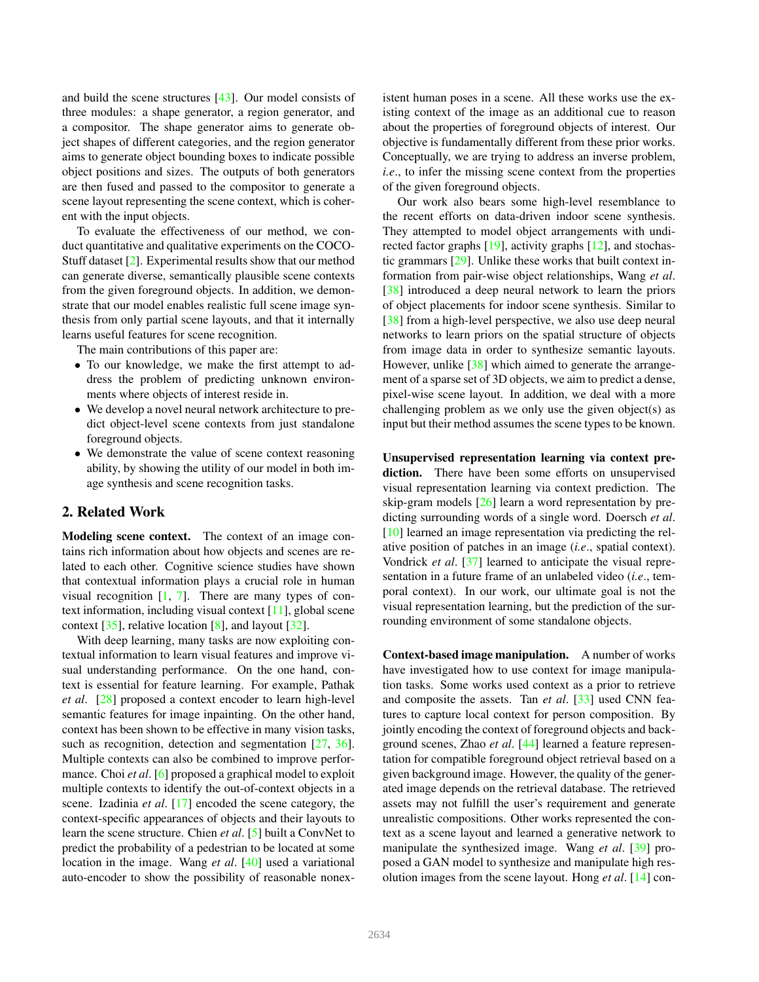and build the scene structures [43]. Our model consists of three modules: a shape generator, a region generator, and a compositor. The shape generator aims to generate object shapes of different categories, and the region generator aims to generate object bounding boxes to indicate possible object positions and sizes. The outputs of both generators are then fused and passed to the compositor to generate a scene layout representing the scene context, which is coherent with the input objects.

To evaluate the effectiveness of our method, we conduct quantitative and qualitative experiments on the COCO-Stuff dataset [2]. Experimental results show that our method can generate diverse, semantically plausible scene contexts from the given foreground objects. In addition, we demonstrate that our model enables realistic full scene image synthesis from only partial scene layouts, and that it internally learns useful features for scene recognition.

The main contributions of this paper are:

- To our knowledge, we make the first attempt to address the problem of predicting unknown environments where objects of interest reside in.
- We develop a novel neural network architecture to predict object-level scene contexts from just standalone foreground objects.
- We demonstrate the value of scene context reasoning ability, by showing the utility of our model in both image synthesis and scene recognition tasks.

# 2. Related Work

Modeling scene context. The context of an image contains rich information about how objects and scenes are related to each other. Cognitive science studies have shown that contextual information plays a crucial role in human visual recognition  $[1, 7]$ . There are many types of context information, including visual context [11], global scene context  $[35]$ , relative location  $[8]$ , and layout  $[32]$ .

With deep learning, many tasks are now exploiting contextual information to learn visual features and improve visual understanding performance. On the one hand, context is essential for feature learning. For example, Pathak *et al*. [28] proposed a context encoder to learn high-level semantic features for image inpainting. On the other hand, context has been shown to be effective in many vision tasks, such as recognition, detection and segmentation [27, 36]. Multiple contexts can also be combined to improve performance. Choi *et al.* [6] proposed a graphical model to exploit multiple contexts to identify the out-of-context objects in a scene. Izadinia *et al*. [17] encoded the scene category, the context-specific appearances of objects and their layouts to learn the scene structure. Chien *et al*. [5] built a ConvNet to predict the probability of a pedestrian to be located at some location in the image. Wang *et al*. [40] used a variational auto-encoder to show the possibility of reasonable nonexistent human poses in a scene. All these works use the existing context of the image as an additional cue to reason about the properties of foreground objects of interest. Our objective is fundamentally different from these prior works. Conceptually, we are trying to address an inverse problem, *i.e.*, to infer the missing scene context from the properties of the given foreground objects.

Our work also bears some high-level resemblance to the recent efforts on data-driven indoor scene synthesis. They attempted to model object arrangements with undirected factor graphs [19], activity graphs [12], and stochastic grammars [29]. Unlike these works that built context information from pair-wise object relationships, Wang *et al*. [38] introduced a deep neural network to learn the priors of object placements for indoor scene synthesis. Similar to [38] from a high-level perspective, we also use deep neural networks to learn priors on the spatial structure of objects from image data in order to synthesize semantic layouts. However, unlike [38] which aimed to generate the arrangement of a sparse set of 3D objects, we aim to predict a dense, pixel-wise scene layout. In addition, we deal with a more challenging problem as we only use the given object(s) as input but their method assumes the scene types to be known.

Unsupervised representation learning via context prediction. There have been some efforts on unsupervised visual representation learning via context prediction. The skip-gram models [26] learn a word representation by predicting surrounding words of a single word. Doersch *et al*. [10] learned an image representation via predicting the relative position of patches in an image (*i.e*., spatial context). Vondrick *et al*. [37] learned to anticipate the visual representation in a future frame of an unlabeled video (*i.e*., temporal context). In our work, our ultimate goal is not the visual representation learning, but the prediction of the surrounding environment of some standalone objects.

Context-based image manipulation. A number of works have investigated how to use context for image manipulation tasks. Some works used context as a prior to retrieve and composite the assets. Tan *et al*. [33] used CNN features to capture local context for person composition. By jointly encoding the context of foreground objects and background scenes, Zhao *et al*. [44] learned a feature representation for compatible foreground object retrieval based on a given background image. However, the quality of the generated image depends on the retrieval database. The retrieved assets may not fulfill the user's requirement and generate unrealistic compositions. Other works represented the context as a scene layout and learned a generative network to manipulate the synthesized image. Wang *et al*. [39] proposed a GAN model to synthesize and manipulate high resolution images from the scene layout. Hong *et al*. [14] con-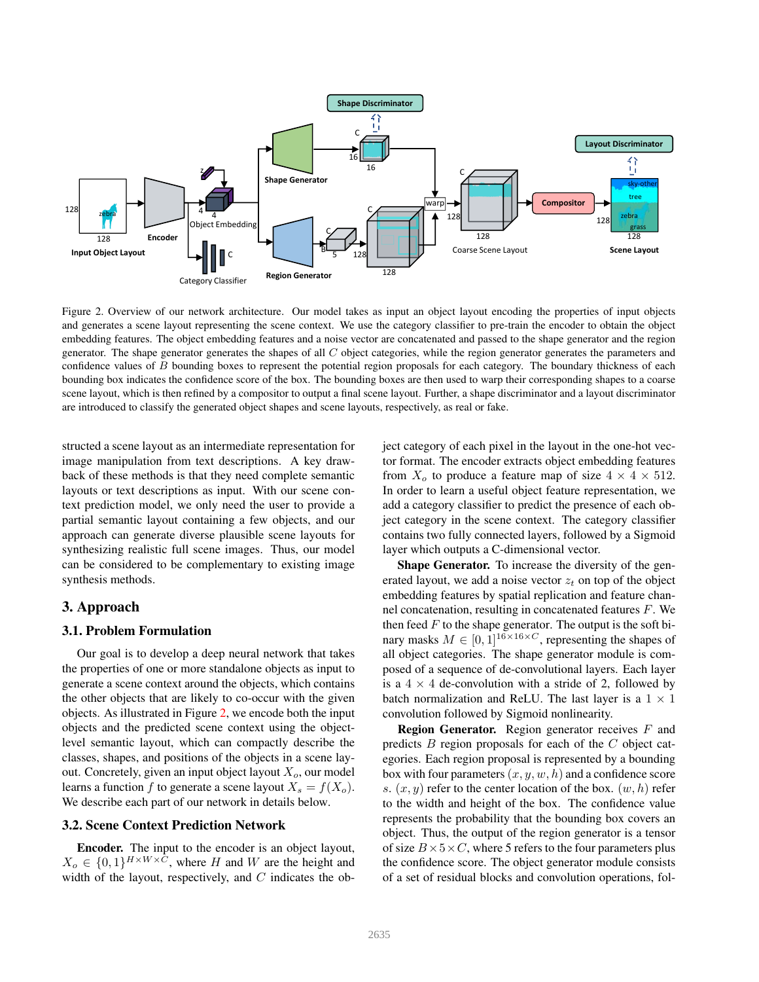

Figure 2. Overview of our network architecture. Our model takes as input an object layout encoding the properties of input objects and generates a scene layout representing the scene context. We use the category classifier to pre-train the encoder to obtain the object embedding features. The object embedding features and a noise vector are concatenated and passed to the shape generator and the region generator. The shape generator generates the shapes of all C object categories, while the region generator generates the parameters and confidence values of B bounding boxes to represent the potential region proposals for each category. The boundary thickness of each bounding box indicates the confidence score of the box. The bounding boxes are then used to warp their corresponding shapes to a coarse scene layout, which is then refined by a compositor to output a final scene layout. Further, a shape discriminator and a layout discriminator are introduced to classify the generated object shapes and scene layouts, respectively, as real or fake.

structed a scene layout as an intermediate representation for image manipulation from text descriptions. A key drawback of these methods is that they need complete semantic layouts or text descriptions as input. With our scene context prediction model, we only need the user to provide a partial semantic layout containing a few objects, and our approach can generate diverse plausible scene layouts for synthesizing realistic full scene images. Thus, our model can be considered to be complementary to existing image synthesis methods.

# 3. Approach

### 3.1. Problem Formulation

Our goal is to develop a deep neural network that takes the properties of one or more standalone objects as input to generate a scene context around the objects, which contains the other objects that are likely to co-occur with the given objects. As illustrated in Figure 2, we encode both the input objects and the predicted scene context using the objectlevel semantic layout, which can compactly describe the classes, shapes, and positions of the objects in a scene layout. Concretely, given an input object layout  $X<sub>o</sub>$ , our model learns a function f to generate a scene layout  $X_s = f(X_o)$ . We describe each part of our network in details below.

# 3.2. Scene Context Prediction Network

Encoder. The input to the encoder is an object layout,  $X_o \in \{0,1\}^{H \times W \times C}$ , where H and W are the height and width of the layout, respectively, and  $C$  indicates the object category of each pixel in the layout in the one-hot vector format. The encoder extracts object embedding features from  $X_o$  to produce a feature map of size  $4 \times 4 \times 512$ . In order to learn a useful object feature representation, we add a category classifier to predict the presence of each object category in the scene context. The category classifier contains two fully connected layers, followed by a Sigmoid layer which outputs a C-dimensional vector.

Shape Generator. To increase the diversity of the generated layout, we add a noise vector  $z_t$  on top of the object embedding features by spatial replication and feature channel concatenation, resulting in concatenated features F. We then feed  $F$  to the shape generator. The output is the soft binary masks  $M \in [0, 1]^{16 \times 16 \times C}$ , representing the shapes of all object categories. The shape generator module is composed of a sequence of de-convolutional layers. Each layer is a  $4 \times 4$  de-convolution with a stride of 2, followed by batch normalization and ReLU. The last layer is a  $1 \times 1$ convolution followed by Sigmoid nonlinearity.

**Region Generator.** Region generator receives  $F$  and predicts  $B$  region proposals for each of the  $C$  object categories. Each region proposal is represented by a bounding box with four parameters  $(x, y, w, h)$  and a confidence score s.  $(x, y)$  refer to the center location of the box.  $(w, h)$  refer to the width and height of the box. The confidence value represents the probability that the bounding box covers an object. Thus, the output of the region generator is a tensor of size  $B \times 5 \times C$ , where 5 refers to the four parameters plus the confidence score. The object generator module consists of a set of residual blocks and convolution operations, fol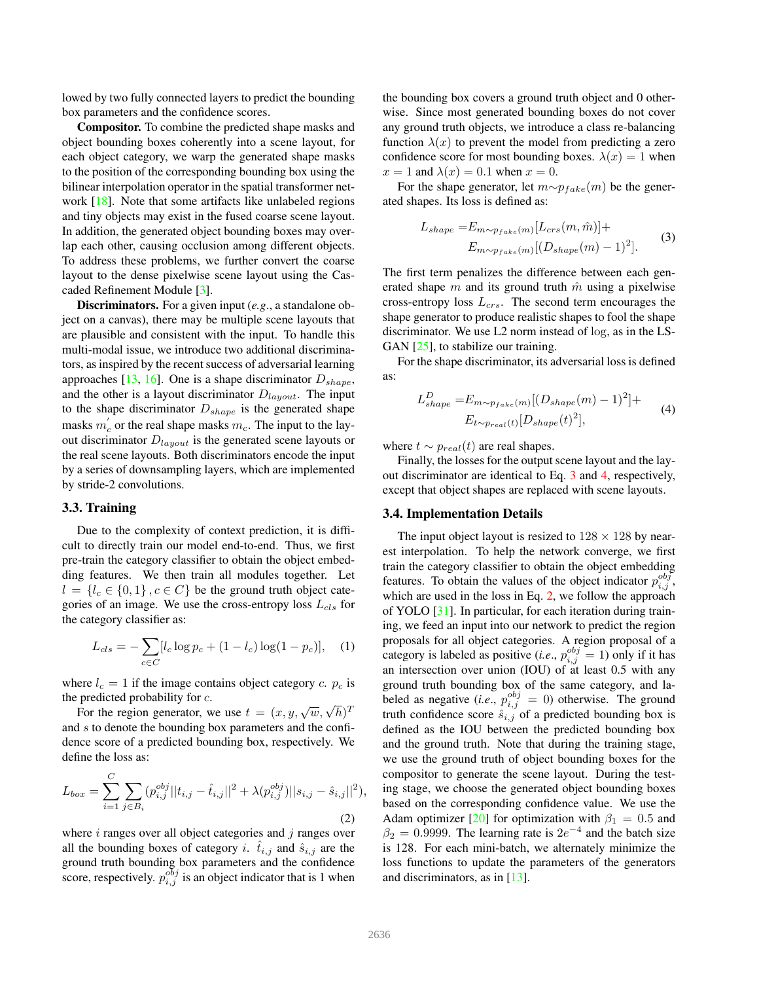lowed by two fully connected layers to predict the bounding box parameters and the confidence scores.

Compositor. To combine the predicted shape masks and object bounding boxes coherently into a scene layout, for each object category, we warp the generated shape masks to the position of the corresponding bounding box using the bilinear interpolation operator in the spatial transformer network [18]. Note that some artifacts like unlabeled regions and tiny objects may exist in the fused coarse scene layout. In addition, the generated object bounding boxes may overlap each other, causing occlusion among different objects. To address these problems, we further convert the coarse layout to the dense pixelwise scene layout using the Cascaded Refinement Module [3].

Discriminators. For a given input (*e.g*., a standalone object on a canvas), there may be multiple scene layouts that are plausible and consistent with the input. To handle this multi-modal issue, we introduce two additional discriminators, as inspired by the recent success of adversarial learning approaches [13, 16]. One is a shape discriminator  $D_{shape}$ , and the other is a layout discriminator  $D_{layout}$ . The input to the shape discriminator  $D_{shape}$  is the generated shape masks  $m_c$  or the real shape masks  $m_c$ . The input to the layout discriminator  $D_{layout}$  is the generated scene layouts or the real scene layouts. Both discriminators encode the input by a series of downsampling layers, which are implemented by stride-2 convolutions.

### 3.3. Training

Due to the complexity of context prediction, it is difficult to directly train our model end-to-end. Thus, we first pre-train the category classifier to obtain the object embedding features. We then train all modules together. Let  $l = \{l_c \in \{0, 1\}, c \in C\}$  be the ground truth object categories of an image. We use the cross-entropy loss  $L_{cls}$  for the category classifier as:

$$
L_{cls} = -\sum_{c \in C} [l_c \log p_c + (1 - l_c) \log(1 - p_c)], \quad (1)
$$

where  $l_c = 1$  if the image contains object category c.  $p_c$  is the predicted probability for c.

For the region generator, we use  $t = (x, y, \sqrt{w}, \sqrt{h})^T$ and s to denote the bounding box parameters and the confidence score of a predicted bounding box, respectively. We define the loss as:

$$
L_{box} = \sum_{i=1}^{C} \sum_{j \in B_i} (p_{i,j}^{obj} || t_{i,j} - \hat{t}_{i,j} ||^2 + \lambda (p_{i,j}^{obj}) || s_{i,j} - \hat{s}_{i,j} ||^2),
$$
\n(2)

where  $i$  ranges over all object categories and  $j$  ranges over all the bounding boxes of category i.  $\tilde{t}_{i,j}$  and  $\hat{s}_{i,j}$  are the ground truth bounding box parameters and the confidence score, respectively.  $p_{i,j}^{\sigma bj}$  is an object indicator that is 1 when

the bounding box covers a ground truth object and 0 otherwise. Since most generated bounding boxes do not cover any ground truth objects, we introduce a class re-balancing function  $\lambda(x)$  to prevent the model from predicting a zero confidence score for most bounding boxes.  $\lambda(x) = 1$  when  $x = 1$  and  $\lambda(x) = 0.1$  when  $x = 0$ .

For the shape generator, let  $m \sim p_{fake}(m)$  be the generated shapes. Its loss is defined as:

$$
L_{shape} = E_{m \sim p_{fake}(m)}[L_{crs}(m,\hat{m})] +
$$
  

$$
E_{m \sim p_{fake}(m)}[(D_{shape}(m) - 1)^2].
$$
 (3)

The first term penalizes the difference between each generated shape m and its ground truth  $\hat{m}$  using a pixelwise cross-entropy loss  $L_{crs}$ . The second term encourages the shape generator to produce realistic shapes to fool the shape discriminator. We use L2 norm instead of log, as in the LS-GAN  $[25]$ , to stabilize our training.

For the shape discriminator, its adversarial loss is defined as:

$$
L_{shape}^D = E_{m \sim p_{fake}(m)} [(D_{shape}(m) - 1)^2] +
$$
  
\n
$$
E_{t \sim p_{real}(t)} [D_{shape}(t)^2],
$$
\n(4)

where  $t \sim p_{real}(t)$  are real shapes.

Finally, the losses for the output scene layout and the layout discriminator are identical to Eq. 3 and 4, respectively, except that object shapes are replaced with scene layouts.

#### 3.4. Implementation Details

The input object layout is resized to  $128 \times 128$  by nearest interpolation. To help the network converge, we first train the category classifier to obtain the object embedding features. To obtain the values of the object indicator  $p_{i,j}^{obj}$ , which are used in the loss in Eq. 2, we follow the approach of YOLO [31]. In particular, for each iteration during training, we feed an input into our network to predict the region proposals for all object categories. A region proposal of a category is labeled as positive (*i.e.*,  $p_{i,j}^{obj} = 1$ ) only if it has an intersection over union (IOU) of at least 0.5 with any ground truth bounding box of the same category, and labeled as negative (*i.e.*,  $p_{i,j}^{obj} = 0$ ) otherwise. The ground truth confidence score  $\hat{s}_{i,j}$  of a predicted bounding box is defined as the IOU between the predicted bounding box and the ground truth. Note that during the training stage, we use the ground truth of object bounding boxes for the compositor to generate the scene layout. During the testing stage, we choose the generated object bounding boxes based on the corresponding confidence value. We use the Adam optimizer [20] for optimization with  $\beta_1 = 0.5$  and  $\beta_2 = 0.9999$ . The learning rate is  $2e^{-4}$  and the batch size is 128. For each mini-batch, we alternately minimize the loss functions to update the parameters of the generators and discriminators, as in [13].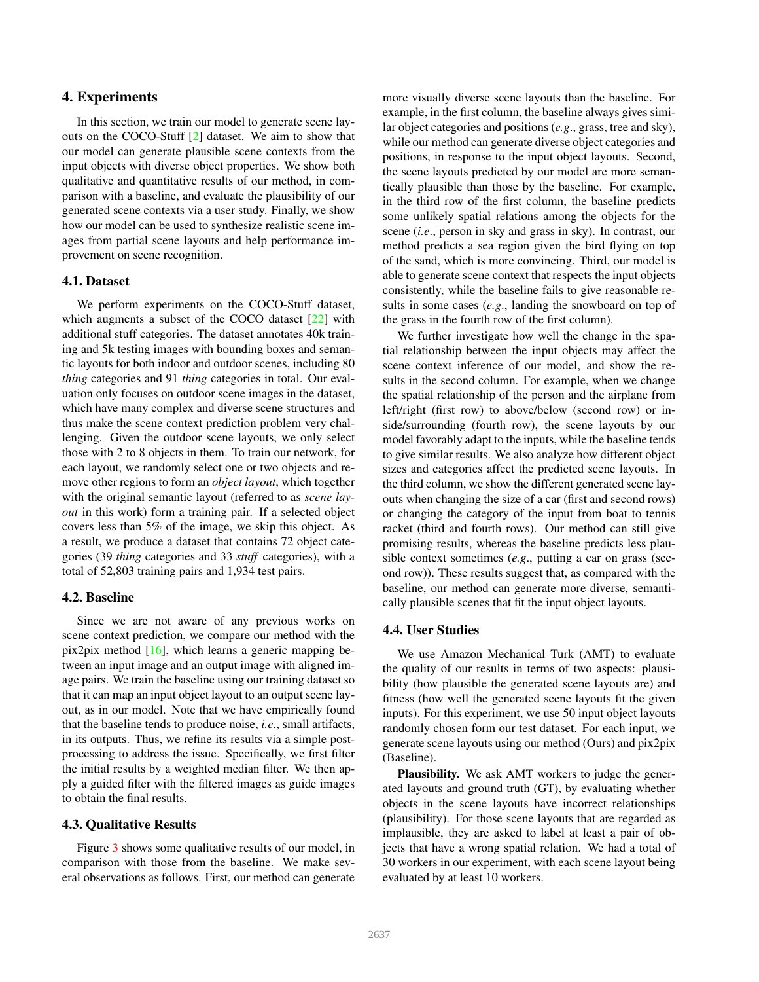# 4. Experiments

In this section, we train our model to generate scene layouts on the COCO-Stuff [2] dataset. We aim to show that our model can generate plausible scene contexts from the input objects with diverse object properties. We show both qualitative and quantitative results of our method, in comparison with a baseline, and evaluate the plausibility of our generated scene contexts via a user study. Finally, we show how our model can be used to synthesize realistic scene images from partial scene layouts and help performance improvement on scene recognition.

#### 4.1. Dataset

We perform experiments on the COCO-Stuff dataset, which augments a subset of the COCO dataset [22] with additional stuff categories. The dataset annotates 40k training and 5k testing images with bounding boxes and semantic layouts for both indoor and outdoor scenes, including 80 *thing* categories and 91 *thing* categories in total. Our evaluation only focuses on outdoor scene images in the dataset, which have many complex and diverse scene structures and thus make the scene context prediction problem very challenging. Given the outdoor scene layouts, we only select those with 2 to 8 objects in them. To train our network, for each layout, we randomly select one or two objects and remove other regions to form an *object layout*, which together with the original semantic layout (referred to as *scene layout* in this work) form a training pair. If a selected object covers less than 5% of the image, we skip this object. As a result, we produce a dataset that contains 72 object categories (39 *thing* categories and 33 *stuff* categories), with a total of 52,803 training pairs and 1,934 test pairs.

#### 4.2. Baseline

Since we are not aware of any previous works on scene context prediction, we compare our method with the pix2pix method  $[16]$ , which learns a generic mapping between an input image and an output image with aligned image pairs. We train the baseline using our training dataset so that it can map an input object layout to an output scene layout, as in our model. Note that we have empirically found that the baseline tends to produce noise, *i.e*., small artifacts, in its outputs. Thus, we refine its results via a simple postprocessing to address the issue. Specifically, we first filter the initial results by a weighted median filter. We then apply a guided filter with the filtered images as guide images to obtain the final results.

#### 4.3. Qualitative Results

Figure 3 shows some qualitative results of our model, in comparison with those from the baseline. We make several observations as follows. First, our method can generate more visually diverse scene layouts than the baseline. For example, in the first column, the baseline always gives similar object categories and positions (*e.g*., grass, tree and sky), while our method can generate diverse object categories and positions, in response to the input object layouts. Second, the scene layouts predicted by our model are more semantically plausible than those by the baseline. For example, in the third row of the first column, the baseline predicts some unlikely spatial relations among the objects for the scene (*i.e*., person in sky and grass in sky). In contrast, our method predicts a sea region given the bird flying on top of the sand, which is more convincing. Third, our model is able to generate scene context that respects the input objects consistently, while the baseline fails to give reasonable results in some cases (*e.g*., landing the snowboard on top of the grass in the fourth row of the first column).

We further investigate how well the change in the spatial relationship between the input objects may affect the scene context inference of our model, and show the results in the second column. For example, when we change the spatial relationship of the person and the airplane from left/right (first row) to above/below (second row) or inside/surrounding (fourth row), the scene layouts by our model favorably adapt to the inputs, while the baseline tends to give similar results. We also analyze how different object sizes and categories affect the predicted scene layouts. In the third column, we show the different generated scene layouts when changing the size of a car (first and second rows) or changing the category of the input from boat to tennis racket (third and fourth rows). Our method can still give promising results, whereas the baseline predicts less plausible context sometimes (*e.g*., putting a car on grass (second row)). These results suggest that, as compared with the baseline, our method can generate more diverse, semantically plausible scenes that fit the input object layouts.

#### 4.4. User Studies

We use Amazon Mechanical Turk (AMT) to evaluate the quality of our results in terms of two aspects: plausibility (how plausible the generated scene layouts are) and fitness (how well the generated scene layouts fit the given inputs). For this experiment, we use 50 input object layouts randomly chosen form our test dataset. For each input, we generate scene layouts using our method (Ours) and pix2pix (Baseline).

Plausibility. We ask AMT workers to judge the generated layouts and ground truth (GT), by evaluating whether objects in the scene layouts have incorrect relationships (plausibility). For those scene layouts that are regarded as implausible, they are asked to label at least a pair of objects that have a wrong spatial relation. We had a total of 30 workers in our experiment, with each scene layout being evaluated by at least 10 workers.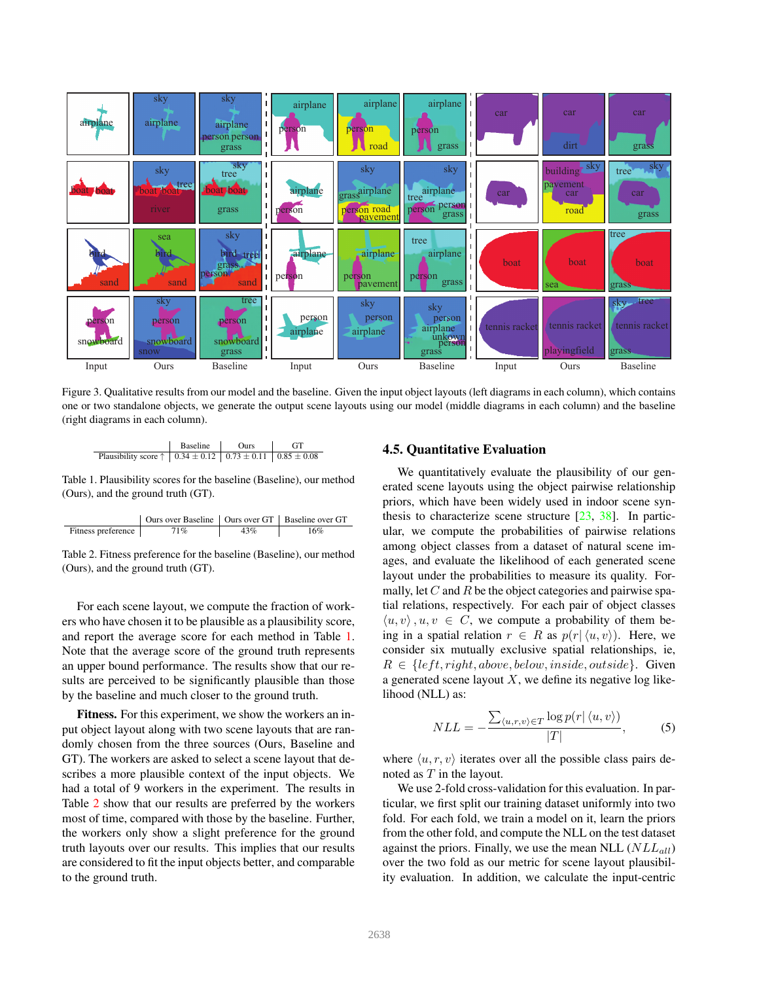

Figure 3. Qualitative results from our model and the baseline. Given the input object layouts (left diagrams in each column), which contains one or two standalone objects, we generate the output scene layouts using our model (middle diagrams in each column) and the baseline (right diagrams in each column).

| Passline           | Ours       | GT              |                 |                 |
|--------------------|------------|-----------------|-----------------|-----------------|
| Plausibility score | $\uparrow$ | $0.34 \pm 0.12$ | $0.73 \pm 0.11$ | $0.85 \pm 0.08$ |

Table 1. Plausibility scores for the baseline (Baseline), our method (Ours), and the ground truth (GT).

Ours over Baseline Ours over GT Baseline over GT Fitness preference 71% 43% 16%

Table 2. Fitness preference for the baseline (Baseline), our method (Ours), and the ground truth (GT).

For each scene layout, we compute the fraction of workers who have chosen it to be plausible as a plausibility score, and report the average score for each method in Table 1. Note that the average score of the ground truth represents an upper bound performance. The results show that our results are perceived to be significantly plausible than those by the baseline and much closer to the ground truth.

Fitness. For this experiment, we show the workers an input object layout along with two scene layouts that are randomly chosen from the three sources (Ours, Baseline and GT). The workers are asked to select a scene layout that describes a more plausible context of the input objects. We had a total of 9 workers in the experiment. The results in Table 2 show that our results are preferred by the workers most of time, compared with those by the baseline. Further, the workers only show a slight preference for the ground truth layouts over our results. This implies that our results are considered to fit the input objects better, and comparable to the ground truth.

# 4.5. Quantitative Evaluation

We quantitatively evaluate the plausibility of our generated scene layouts using the object pairwise relationship priors, which have been widely used in indoor scene synthesis to characterize scene structure [23, 38]. In particular, we compute the probabilities of pairwise relations among object classes from a dataset of natural scene images, and evaluate the likelihood of each generated scene layout under the probabilities to measure its quality. Formally, let  $C$  and  $R$  be the object categories and pairwise spatial relations, respectively. For each pair of object classes  $\langle u, v \rangle$ ,  $u, v \in C$ , we compute a probability of them being in a spatial relation  $r \in R$  as  $p(r | \langle u, v \rangle)$ . Here, we consider six mutually exclusive spatial relationships, ie,  $R \in \{left, right, above, below, inside, outside\}.$  Given a generated scene layout  $X$ , we define its negative log likelihood (NLL) as:

$$
NLL = -\frac{\sum_{\langle u,r,v\rangle \in T} \log p(r | \langle u,v \rangle)}{|T|},\tag{5}
$$

where  $\langle u, r, v \rangle$  iterates over all the possible class pairs denoted as T in the layout.

We use 2-fold cross-validation for this evaluation. In particular, we first split our training dataset uniformly into two fold. For each fold, we train a model on it, learn the priors from the other fold, and compute the NLL on the test dataset against the priors. Finally, we use the mean NLL  $(NLL_{all})$ over the two fold as our metric for scene layout plausibility evaluation. In addition, we calculate the input-centric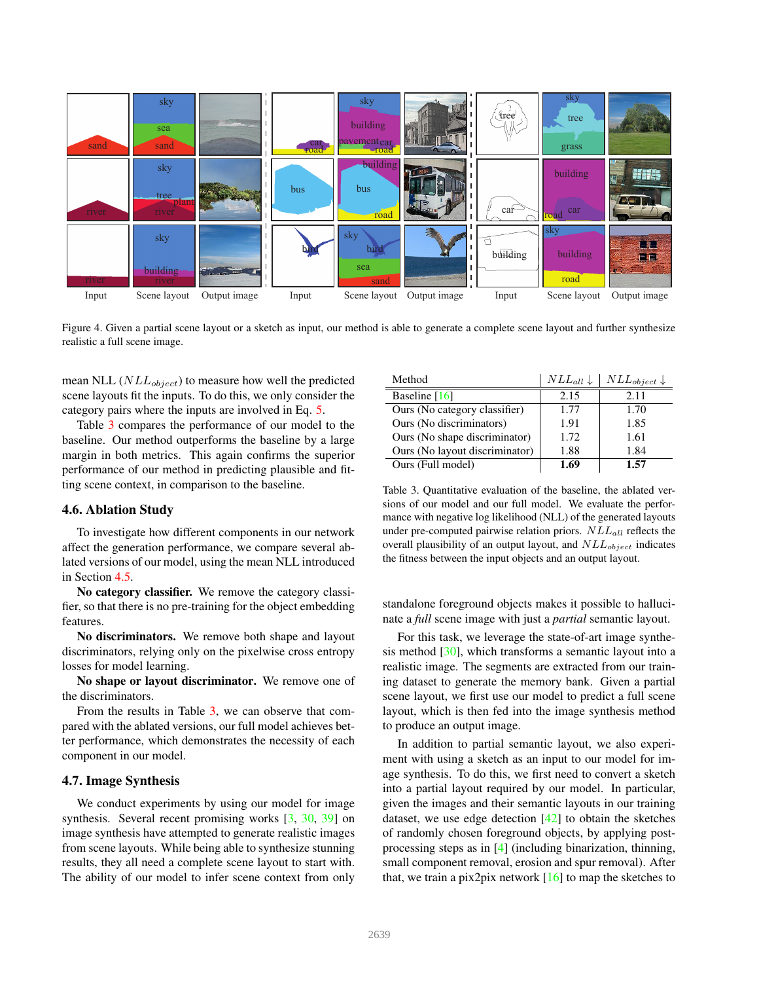

Figure 4. Given a partial scene layout or a sketch as input, our method is able to generate a complete scene layout and further synthesize realistic a full scene image.

mean NLL  $(NLL_{object})$  to measure how well the predicted scene layouts fit the inputs. To do this, we only consider the category pairs where the inputs are involved in Eq. 5.

Table 3 compares the performance of our model to the baseline. Our method outperforms the baseline by a large margin in both metrics. This again confirms the superior performance of our method in predicting plausible and fitting scene context, in comparison to the baseline.

#### 4.6. Ablation Study

To investigate how different components in our network affect the generation performance, we compare several ablated versions of our model, using the mean NLL introduced in Section 4.5.

No category classifier. We remove the category classifier, so that there is no pre-training for the object embedding features.

No discriminators. We remove both shape and layout discriminators, relying only on the pixelwise cross entropy losses for model learning.

No shape or layout discriminator. We remove one of the discriminators.

From the results in Table 3, we can observe that compared with the ablated versions, our full model achieves better performance, which demonstrates the necessity of each component in our model.

#### 4.7. Image Synthesis

We conduct experiments by using our model for image synthesis. Several recent promising works [3, 30, 39] on image synthesis have attempted to generate realistic images from scene layouts. While being able to synthesize stunning results, they all need a complete scene layout to start with. The ability of our model to infer scene context from only

| Method                         | $NLL_{all} \downarrow$ | $NLL_{object}$ |
|--------------------------------|------------------------|----------------|
| Baseline $[16]$                | 2.15                   | 2.11           |
| Ours (No category classifier)  | 1.77                   | 1.70           |
| Ours (No discriminators)       | 1.91                   | 1.85           |
| Ours (No shape discriminator)  | 1.72                   | 1.61           |
| Ours (No layout discriminator) | 1.88                   | 1.84           |
| Ours (Full model)              | 1.69                   | 1.57           |

Table 3. Quantitative evaluation of the baseline, the ablated versions of our model and our full model. We evaluate the performance with negative log likelihood (NLL) of the generated layouts under pre-computed pairwise relation priors.  $NLL_{all}$  reflects the overall plausibility of an output layout, and  $NLL_{object}$  indicates the fitness between the input objects and an output layout.

standalone foreground objects makes it possible to hallucinate a *full* scene image with just a *partial* semantic layout.

For this task, we leverage the state-of-art image synthesis method [30], which transforms a semantic layout into a realistic image. The segments are extracted from our training dataset to generate the memory bank. Given a partial scene layout, we first use our model to predict a full scene layout, which is then fed into the image synthesis method to produce an output image.

In addition to partial semantic layout, we also experiment with using a sketch as an input to our model for image synthesis. To do this, we first need to convert a sketch into a partial layout required by our model. In particular, given the images and their semantic layouts in our training dataset, we use edge detection [42] to obtain the sketches of randomly chosen foreground objects, by applying postprocessing steps as in [4] (including binarization, thinning, small component removal, erosion and spur removal). After that, we train a pix2pix network  $[16]$  to map the sketches to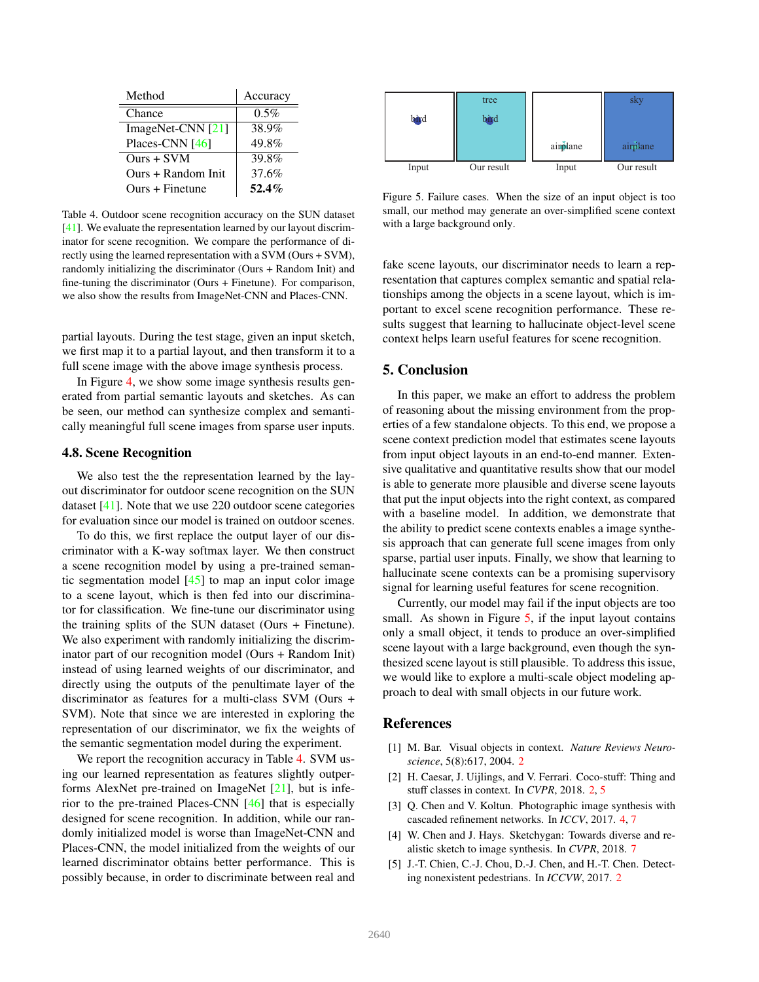| Method              | Accuracy |
|---------------------|----------|
| Chance              | $0.5\%$  |
| ImageNet-CNN $[21]$ | 38.9%    |
| Places-CNN [46]     | 49.8%    |
| $Ours + SVM$        | 39.8%    |
| Ours + Random Init  | 37.6%    |
| Ours + Finetune     | 52.4%    |

Table 4. Outdoor scene recognition accuracy on the SUN dataset [41]. We evaluate the representation learned by our layout discriminator for scene recognition. We compare the performance of directly using the learned representation with a SVM (Ours + SVM), randomly initializing the discriminator (Ours + Random Init) and fine-tuning the discriminator (Ours + Finetune). For comparison, we also show the results from ImageNet-CNN and Places-CNN.

partial layouts. During the test stage, given an input sketch, we first map it to a partial layout, and then transform it to a full scene image with the above image synthesis process.

In Figure 4, we show some image synthesis results generated from partial semantic layouts and sketches. As can be seen, our method can synthesize complex and semantically meaningful full scene images from sparse user inputs.

#### 4.8. Scene Recognition

We also test the the representation learned by the layout discriminator for outdoor scene recognition on the SUN dataset [41]. Note that we use 220 outdoor scene categories for evaluation since our model is trained on outdoor scenes.

To do this, we first replace the output layer of our discriminator with a K-way softmax layer. We then construct a scene recognition model by using a pre-trained semantic segmentation model  $[45]$  to map an input color image to a scene layout, which is then fed into our discriminator for classification. We fine-tune our discriminator using the training splits of the SUN dataset (Ours + Finetune). We also experiment with randomly initializing the discriminator part of our recognition model (Ours + Random Init) instead of using learned weights of our discriminator, and directly using the outputs of the penultimate layer of the discriminator as features for a multi-class SVM (Ours + SVM). Note that since we are interested in exploring the representation of our discriminator, we fix the weights of the semantic segmentation model during the experiment.

We report the recognition accuracy in Table 4. SVM using our learned representation as features slightly outperforms AlexNet pre-trained on ImageNet [21], but is inferior to the pre-trained Places-CNN [46] that is especially designed for scene recognition. In addition, while our randomly initialized model is worse than ImageNet-CNN and Places-CNN, the model initialized from the weights of our learned discriminator obtains better performance. This is possibly because, in order to discriminate between real and



Figure 5. Failure cases. When the size of an input object is too small, our method may generate an over-simplified scene context with a large background only.

fake scene layouts, our discriminator needs to learn a representation that captures complex semantic and spatial relationships among the objects in a scene layout, which is important to excel scene recognition performance. These results suggest that learning to hallucinate object-level scene context helps learn useful features for scene recognition.

### 5. Conclusion

In this paper, we make an effort to address the problem of reasoning about the missing environment from the properties of a few standalone objects. To this end, we propose a scene context prediction model that estimates scene layouts from input object layouts in an end-to-end manner. Extensive qualitative and quantitative results show that our model is able to generate more plausible and diverse scene layouts that put the input objects into the right context, as compared with a baseline model. In addition, we demonstrate that the ability to predict scene contexts enables a image synthesis approach that can generate full scene images from only sparse, partial user inputs. Finally, we show that learning to hallucinate scene contexts can be a promising supervisory signal for learning useful features for scene recognition.

Currently, our model may fail if the input objects are too small. As shown in Figure  $5$ , if the input layout contains only a small object, it tends to produce an over-simplified scene layout with a large background, even though the synthesized scene layout is still plausible. To address this issue, we would like to explore a multi-scale object modeling approach to deal with small objects in our future work.

### References

- [1] M. Bar. Visual objects in context. *Nature Reviews Neuroscience*, 5(8):617, 2004. 2
- [2] H. Caesar, J. Uijlings, and V. Ferrari. Coco-stuff: Thing and stuff classes in context. In *CVPR*, 2018. 2, 5
- [3] Q. Chen and V. Koltun. Photographic image synthesis with cascaded refinement networks. In *ICCV*, 2017. 4, 7
- [4] W. Chen and J. Hays. Sketchygan: Towards diverse and realistic sketch to image synthesis. In *CVPR*, 2018. 7
- [5] J.-T. Chien, C.-J. Chou, D.-J. Chen, and H.-T. Chen. Detecting nonexistent pedestrians. In *ICCVW*, 2017. 2